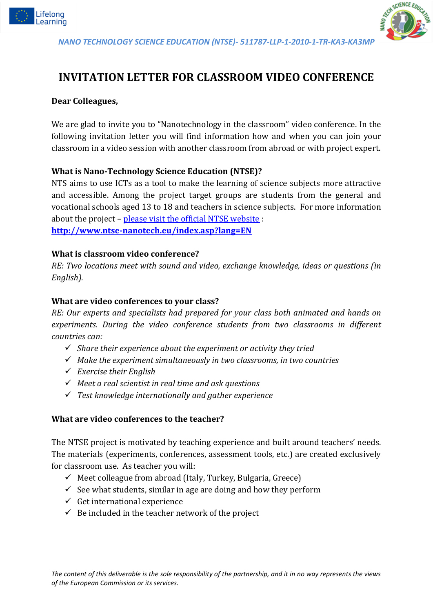



# **INVITATION LETTER FOR CLASSROOM VIDEO CONFERENCE**

### **Dear Colleagues,**

We are glad to invite you to "Nanotechnology in the classroom" video conference. In the following invitation letter you will find information how and when you can join your classroom in a video session with another classroom from abroad or with project expert.

### **What is Nano-Technology Science Education (NTSE)?**

NTS aims to use ICTs as a tool to make the learning of science subjects more attractive and accessible. Among the project target groups are students from the general and vocational schools aged 13 to 18 and teachers in science subjects. For more information about the project – [please visit the official NTSE website](http://www.ntse-nanotech.eu/index.asp) : **<http://www.ntse-nanotech.eu/index.asp?lang=EN>**

#### **What is classroom video conference?**

*RE: Two locations meet with sound and video, exchange knowledge, ideas or questions (in English).* 

#### **What are video conferences to your class?**

*RE: Our experts and specialists had prepared for your class both animated and hands on experiments. During the video conference students from two classrooms in different countries can:*

- *Share their experience about the experiment or activity they tried*
- *Make the experiment simultaneously in two classrooms, in two countries*
- *Exercise their English*
- *Meet a real scientist in real time and ask questions*
- *Test knowledge internationally and gather experience*

#### **What are video conferences to the teacher?**

The NTSE project is motivated by teaching experience and built around teachers' needs. The materials (experiments, conferences, assessment tools, etc.) are created exclusively for classroom use. As teacher you will:

- $\checkmark$  Meet colleague from abroad (Italy, Turkey, Bulgaria, Greece)
- $\checkmark$  See what students, similar in age are doing and how they perform
- $\checkmark$  Get international experience
- $\checkmark$  Be included in the teacher network of the project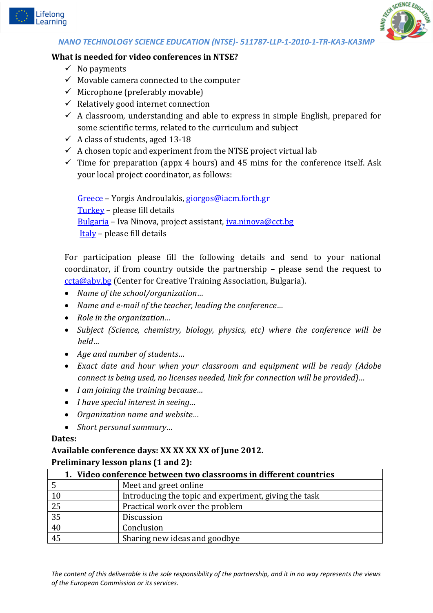



#### **What is needed for video conferences in NTSE?**

- $\checkmark$  No payments
- $\checkmark$  Movable camera connected to the computer
- $\checkmark$  Microphone (preferably movable)
- $\checkmark$  Relatively good internet connection
- $\checkmark$  A classroom, understanding and able to express in simple English, prepared for some scientific terms, related to the curriculum and subject
- $\checkmark$  A class of students, aged 13-18
- $\checkmark$  A chosen topic and experiment from the NTSE project virtual lab
- $\checkmark$  Time for preparation (appx 4 hours) and 45 mins for the conference itself. Ask your local project coordinator, as follows:

[Greece](http://forth.gr/) – Yorgis Androulakis, [giorgos@iacm.forth.gr](mailto:giorgos@iacm.forth.gr)  [Turkey](http://www.dogaschools.com/) – please fill details [Bulgaria](http://www.cct.bg/) – Iva Ninova, project assistant, [iva.ninova@cct.bg](mailto:iva.ninova@cct.bg) [Italy](http://www.cittadellascienza.it/) – please fill details

For participation please fill the following details and send to your national coordinator, if from country outside the partnership – please send the request to [ccta@abv.bg](mailto:ccta@abv.bg) (Center for Creative Training Association, Bulgaria).

- *Name of the school/organization…*
- *Name and e-mail of the teacher, leading the conference…*
- *Role in the organization…*
- *Subject (Science, chemistry, biology, physics, etc) where the conference will be held…*
- *Age and number of students…*
- *Exact date and hour when your classroom and equipment will be ready (Adobe connect is being used, no licenses needed, link for connection will be provided)…*
- *I am joining the training because…*
- *I have special interest in seeing…*
- *Organization name and website…*
- *Short personal summary…*

#### **Dates:**

#### **Available conference days: XX XX XX XX of June 2012. Preliminary lesson plans (1 and 2):**

| 1. Video conference between two classrooms in different countries |                                                       |
|-------------------------------------------------------------------|-------------------------------------------------------|
|                                                                   | Meet and greet online                                 |
| 10                                                                | Introducing the topic and experiment, giving the task |
| $\overline{25}$                                                   | Practical work over the problem                       |
| $\overline{35}$                                                   | Discussion                                            |
| $40\,$                                                            | Conclusion                                            |
| $\overline{45}$                                                   | Sharing new ideas and goodbye                         |